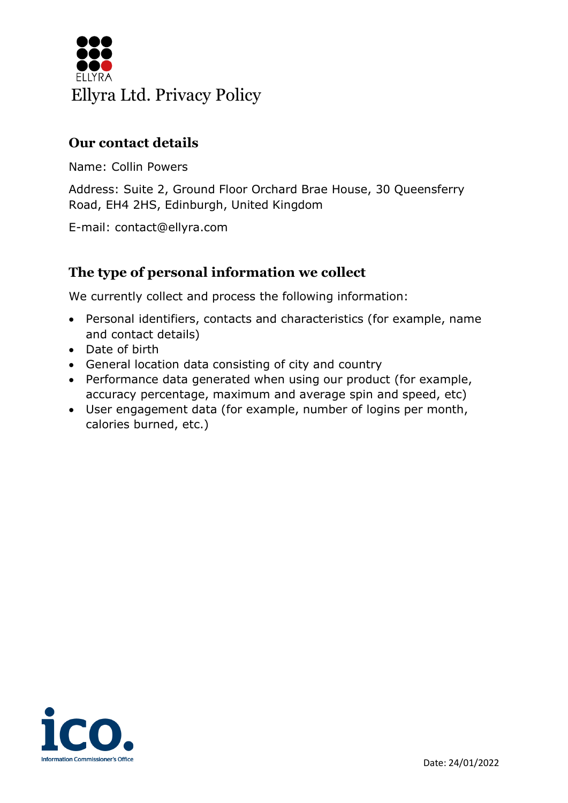

### **Our contact details**

Name: Collin Powers

Address: Suite 2, Ground Floor Orchard Brae House, 30 Queensferry Road, EH4 2HS, Edinburgh, United Kingdom

E-mail: contact@ellyra.com

## **The type of personal information we collect**

We currently collect and process the following information:

- Personal identifiers, contacts and characteristics (for example, name and contact details)
- Date of birth
- General location data consisting of city and country
- Performance data generated when using our product (for example, accuracy percentage, maximum and average spin and speed, etc)
- User engagement data (for example, number of logins per month, calories burned, etc.)

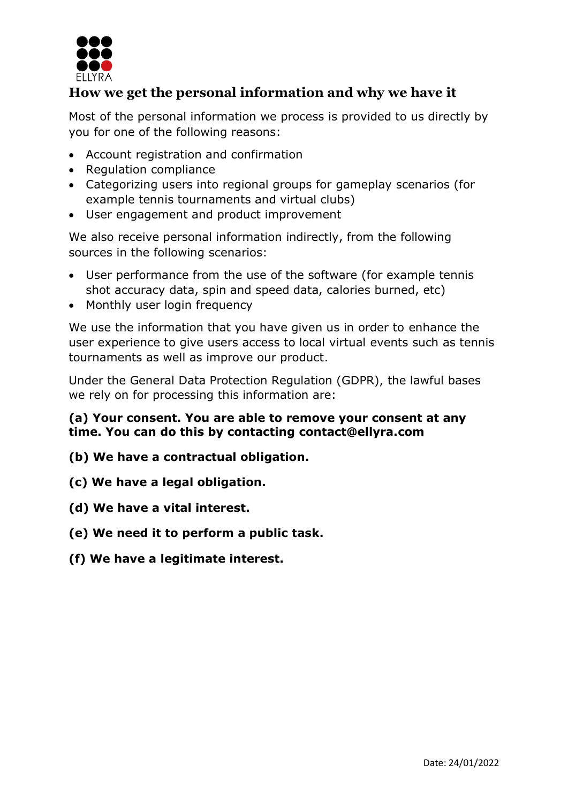

# **How we get the personal information and why we have it**

Most of the personal information we process is provided to us directly by you for one of the following reasons:

- Account registration and confirmation
- Regulation compliance
- Categorizing users into regional groups for gameplay scenarios (for example tennis tournaments and virtual clubs)
- User engagement and product improvement

We also receive personal information indirectly, from the following sources in the following scenarios:

- User performance from the use of the software (for example tennis shot accuracy data, spin and speed data, calories burned, etc)
- Monthly user login frequency

We use the information that you have given us in order to enhance the user experience to give users access to local virtual events such as tennis tournaments as well as improve our product.

Under the General Data Protection Regulation (GDPR), the lawful bases we rely on for processing this information are:

#### **(a) Your consent. You are able to remove your consent at any time. You can do this by contacting contact@ellyra.com**

- **(b) We have a contractual obligation.**
- **(c) We have a legal obligation.**
- **(d) We have a vital interest.**
- **(e) We need it to perform a public task.**
- **(f) We have a legitimate interest.**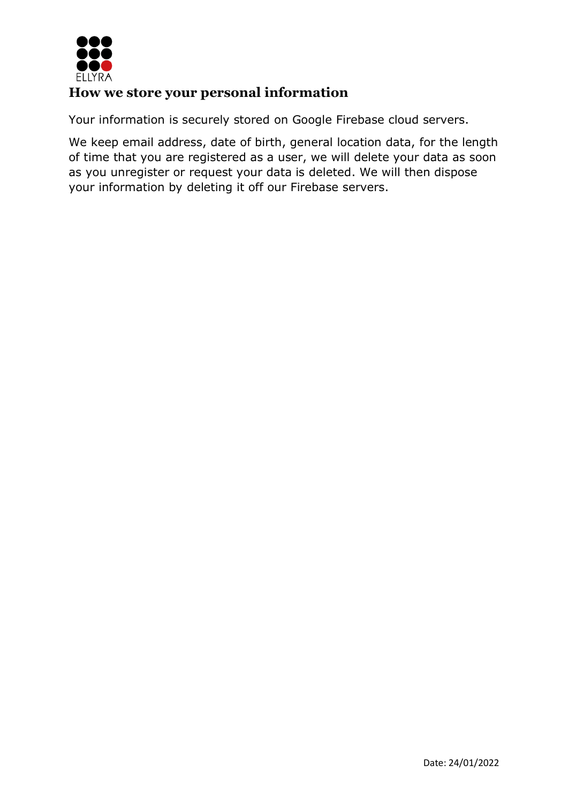

### **How we store your personal information**

Your information is securely stored on Google Firebase cloud servers.

We keep email address, date of birth, general location data, for the length of time that you are registered as a user, we will delete your data as soon as you unregister or request your data is deleted. We will then dispose your information by deleting it off our Firebase servers.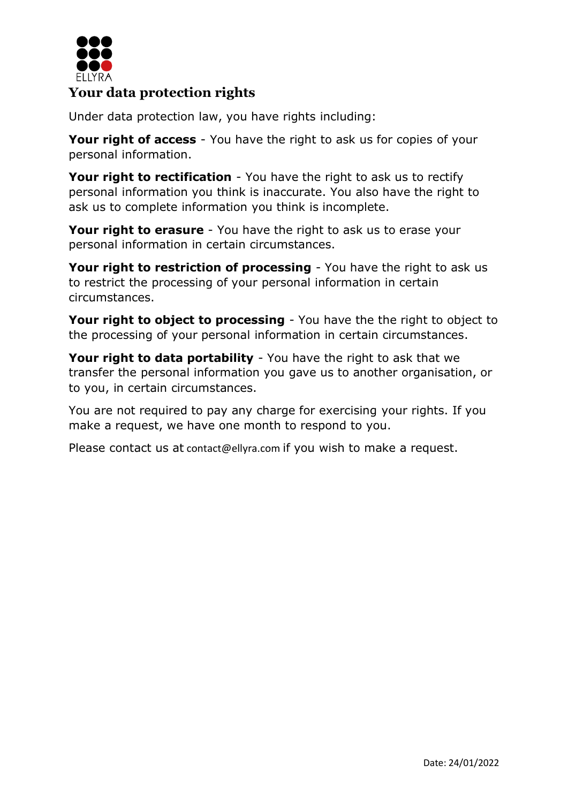

# **Your data protection rights**

Under data protection law, you have rights including:

**Your right of access** - You have the right to ask us for copies of your personal information.

**Your right to rectification** - You have the right to ask us to rectify personal information you think is inaccurate. You also have the right to ask us to complete information you think is incomplete.

**Your right to erasure** - You have the right to ask us to erase your personal information in certain circumstances.

**Your right to restriction of processing** - You have the right to ask us to restrict the processing of your personal information in certain circumstances.

**Your right to object to processing** - You have the the right to object to the processing of your personal information in certain circumstances.

**Your right to data portability** - You have the right to ask that we transfer the personal information you gave us to another organisation, or to you, in certain circumstances.

You are not required to pay any charge for exercising your rights. If you make a request, we have one month to respond to you.

Please contact us at contact@ellyra.com if you wish to make a request.